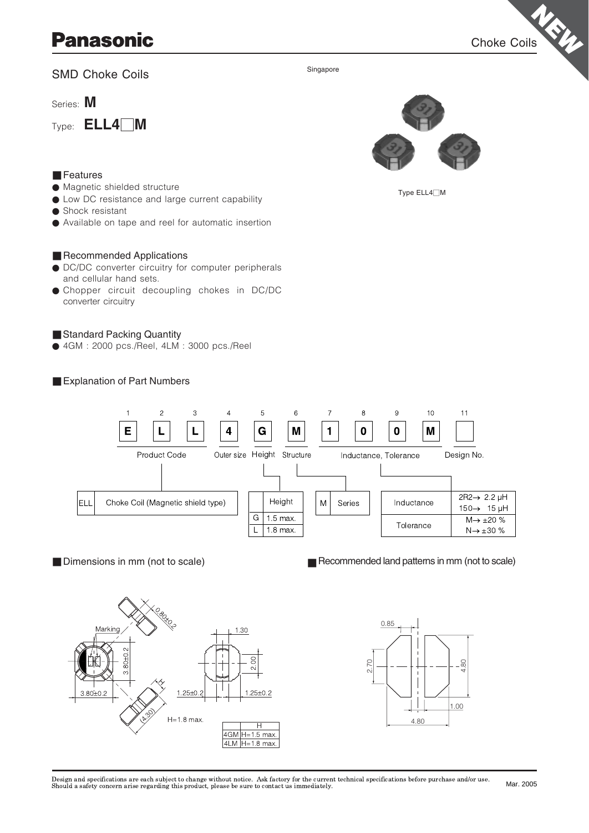# **Panasonic**

Choke Coils

# SMD Choke Coils

Series: **M**

Type: **ELL4**1**M**



Type ELL4□M

# ● Magnetic shielded structure

■ Features

- Low DC resistance and large current capability
- Shock resistant
- Available on tape and reel for automatic insertion

#### ■ Recommended Applications

- DC/DC converter circuitry for computer peripherals and cellular hand sets.
- Chopper circuit decoupling chokes in DC/DC converter circuitry

### ■ Standard Packing Quantity

● 4GM : 2000 pcs./Reel, 4LM : 3000 pcs./Reel





Singapore

■ Dimensions in mm (not to scale)

■ Recommended land patterns in mm (not to scale)





Design and specifications are each subject to change without notice. Ask factory for the current technical specifications before purchase and/or use.<br>Should a safety concern arise regarding this product, please be sure to Mar. 2005